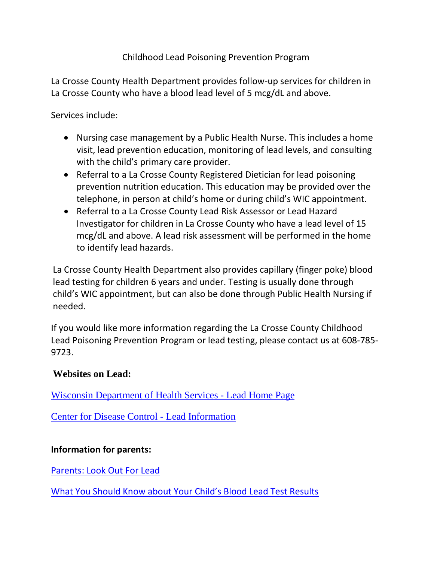## Childhood Lead Poisoning Prevention Program

La Crosse County Health Department provides follow-up services for children in La Crosse County who have a blood lead level of 5 mcg/dL and above.

Services include:

- Nursing case management by a Public Health Nurse. This includes a home visit, lead prevention education, monitoring of lead levels, and consulting with the child's primary care provider.
- Referral to a La Crosse County Registered Dietician for lead poisoning prevention nutrition education. This education may be provided over the telephone, in person at child's home or during child's WIC appointment.
- Referral to a La Crosse County Lead Risk Assessor or Lead Hazard Investigator for children in La Crosse County who have a lead level of 15 mcg/dL and above. A lead risk assessment will be performed in the home to identify lead hazards.

La Crosse County Health Department also provides capillary (finger poke) blood lead testing for children 6 years and under. Testing is usually done through child's WIC appointment, but can also be done through Public Health Nursing if needed.

If you would like more information regarding the La Crosse County Childhood Lead Poisoning Prevention Program or lead testing, please contact us at 608-785- 9723.

## **Websites on Lead:**

[Wisconsin Department of Health Services -](http://www.dhs.wisconsin.gov/lead/) Lead Home Page

[Center for Disease Control -](http://www.cdc.gov/nceh/lead/) Lead Information

## **Information for parents:**

[Parents: Look Out For Lead](https://www.dhs.wisconsin.gov/publications/p4/p44535a.pdf)

[What You Should Know about Your Child's Blood Lead Test Results](http://www.nchh.org/Portals/0/Contents/Consumer%20BLL%20Fact%20Sheet%208-7-12.pdf)